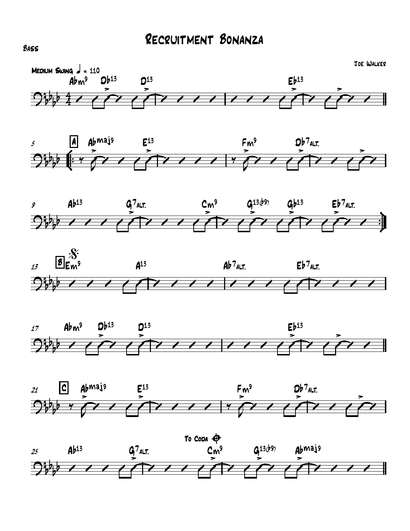













BASS